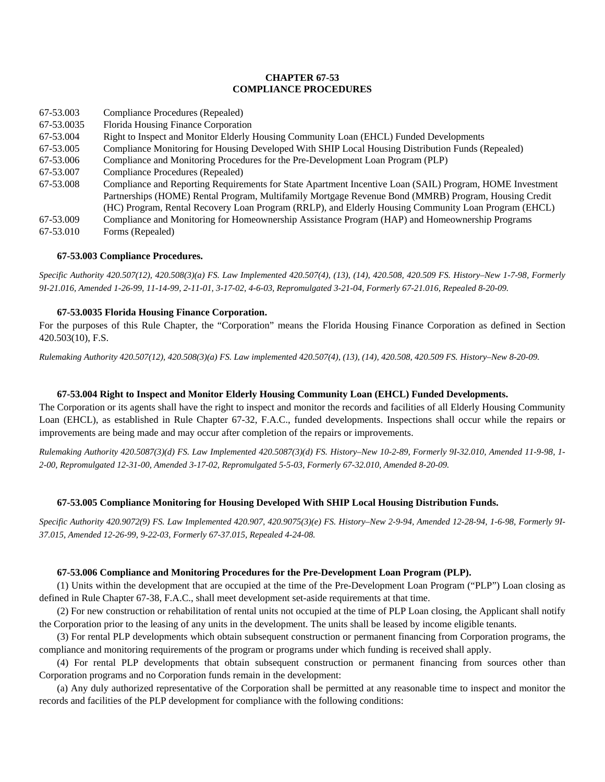# **CHAPTER 67-53 COMPLIANCE PROCEDURES**

| 67-53.003  | Compliance Procedures (Repealed)                                                                         |
|------------|----------------------------------------------------------------------------------------------------------|
| 67-53.0035 | Florida Housing Finance Corporation                                                                      |
| 67-53.004  | Right to Inspect and Monitor Elderly Housing Community Loan (EHCL) Funded Developments                   |
| 67-53.005  | Compliance Monitoring for Housing Developed With SHIP Local Housing Distribution Funds (Repealed)        |
| 67-53.006  | Compliance and Monitoring Procedures for the Pre-Development Loan Program (PLP)                          |
| 67-53.007  | Compliance Procedures (Repealed)                                                                         |
| 67-53.008  | Compliance and Reporting Requirements for State Apartment Incentive Loan (SAIL) Program, HOME Investment |
|            | Partnerships (HOME) Rental Program, Multifamily Mortgage Revenue Bond (MMRB) Program, Housing Credit     |
|            | (HC) Program, Rental Recovery Loan Program (RRLP), and Elderly Housing Community Loan Program (EHCL)     |
| 67-53.009  | Compliance and Monitoring for Homeownership Assistance Program (HAP) and Homeownership Programs          |
| 67-53.010  | Forms (Repealed)                                                                                         |

### **67-53.003 Compliance Procedures.**

*Specific Authority 420.507(12), 420.508(3)(a) FS. Law Implemented 420.507(4), (13), (14), 420.508, 420.509 FS. History–New 1-7-98, Formerly 9I-21.016, Amended 1-26-99, 11-14-99, 2-11-01, 3-17-02, 4-6-03, Repromulgated 3-21-04, Formerly 67-21.016, Repealed 8-20-09.*

# **67-53.0035 Florida Housing Finance Corporation.**

For the purposes of this Rule Chapter, the "Corporation" means the Florida Housing Finance Corporation as defined in Section 420.503(10), F.S.

*Rulemaking Authority 420.507(12), 420.508(3)(a) FS. Law implemented 420.507(4), (13), (14), 420.508, 420.509 FS. History–New 8-20-09.* 

## **67-53.004 Right to Inspect and Monitor Elderly Housing Community Loan (EHCL) Funded Developments.**

The Corporation or its agents shall have the right to inspect and monitor the records and facilities of all Elderly Housing Community Loan (EHCL), as established in Rule Chapter 67-32, F.A.C., funded developments. Inspections shall occur while the repairs or improvements are being made and may occur after completion of the repairs or improvements.

*Rulemaking Authority 420.5087(3)(d) FS. Law Implemented 420.5087(3)(d) FS. History–New 10-2-89, Formerly 9I-32.010, Amended 11-9-98, 1- 2-00, Repromulgated 12-31-00, Amended 3-17-02, Repromulgated 5-5-03, Formerly 67-32.010, Amended 8-20-09.* 

### **67-53.005 Compliance Monitoring for Housing Developed With SHIP Local Housing Distribution Funds.**

*Specific Authority 420.9072(9) FS. Law Implemented 420.907, 420.9075(3)(e) FS. History–New 2-9-94, Amended 12-28-94, 1-6-98, Formerly 9I-37.015, Amended 12-26-99, 9-22-03, Formerly 67-37.015, Repealed 4-24-08.* 

### **67-53.006 Compliance and Monitoring Procedures for the Pre-Development Loan Program (PLP).**

(1) Units within the development that are occupied at the time of the Pre-Development Loan Program ("PLP") Loan closing as defined in Rule Chapter 67-38, F.A.C., shall meet development set-aside requirements at that time.

(2) For new construction or rehabilitation of rental units not occupied at the time of PLP Loan closing, the Applicant shall notify the Corporation prior to the leasing of any units in the development. The units shall be leased by income eligible tenants.

(3) For rental PLP developments which obtain subsequent construction or permanent financing from Corporation programs, the compliance and monitoring requirements of the program or programs under which funding is received shall apply.

(4) For rental PLP developments that obtain subsequent construction or permanent financing from sources other than Corporation programs and no Corporation funds remain in the development:

(a) Any duly authorized representative of the Corporation shall be permitted at any reasonable time to inspect and monitor the records and facilities of the PLP development for compliance with the following conditions: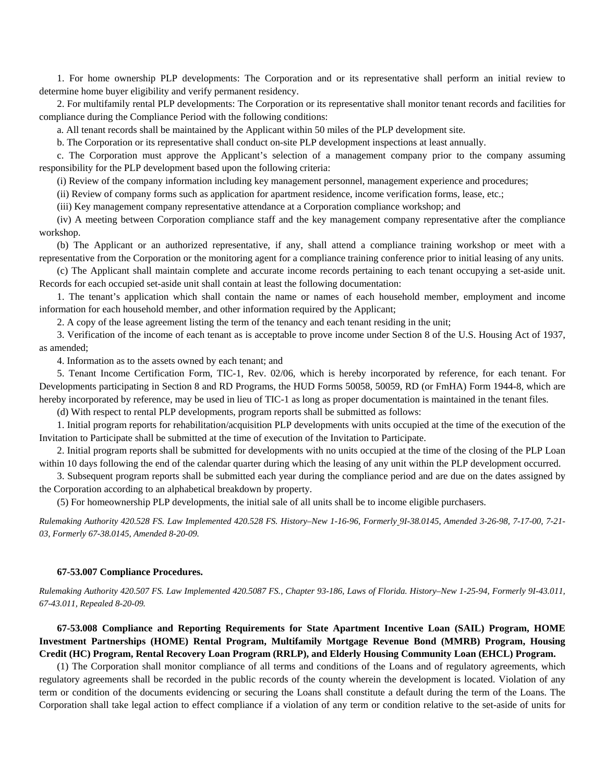1. For home ownership PLP developments: The Corporation and or its representative shall perform an initial review to determine home buyer eligibility and verify permanent residency.

2. For multifamily rental PLP developments: The Corporation or its representative shall monitor tenant records and facilities for compliance during the Compliance Period with the following conditions:

a. All tenant records shall be maintained by the Applicant within 50 miles of the PLP development site.

b. The Corporation or its representative shall conduct on-site PLP development inspections at least annually.

c. The Corporation must approve the Applicant's selection of a management company prior to the company assuming responsibility for the PLP development based upon the following criteria:

(i) Review of the company information including key management personnel, management experience and procedures;

(ii) Review of company forms such as application for apartment residence, income verification forms, lease, etc.;

(iii) Key management company representative attendance at a Corporation compliance workshop; and

(iv) A meeting between Corporation compliance staff and the key management company representative after the compliance workshop.

(b) The Applicant or an authorized representative, if any, shall attend a compliance training workshop or meet with a representative from the Corporation or the monitoring agent for a compliance training conference prior to initial leasing of any units.

(c) The Applicant shall maintain complete and accurate income records pertaining to each tenant occupying a set-aside unit. Records for each occupied set-aside unit shall contain at least the following documentation:

1. The tenant's application which shall contain the name or names of each household member, employment and income information for each household member, and other information required by the Applicant;

2. A copy of the lease agreement listing the term of the tenancy and each tenant residing in the unit;

3. Verification of the income of each tenant as is acceptable to prove income under Section 8 of the U.S. Housing Act of 1937, as amended;

4. Information as to the assets owned by each tenant; and

5. Tenant Income Certification Form, TIC-1, Rev. 02/06, which is hereby incorporated by reference, for each tenant. For Developments participating in Section 8 and RD Programs, the HUD Forms 50058, 50059, RD (or FmHA) Form 1944-8, which are hereby incorporated by reference, may be used in lieu of TIC-1 as long as proper documentation is maintained in the tenant files.

(d) With respect to rental PLP developments, program reports shall be submitted as follows:

1. Initial program reports for rehabilitation/acquisition PLP developments with units occupied at the time of the execution of the Invitation to Participate shall be submitted at the time of execution of the Invitation to Participate.

2. Initial program reports shall be submitted for developments with no units occupied at the time of the closing of the PLP Loan within 10 days following the end of the calendar quarter during which the leasing of any unit within the PLP development occurred.

3. Subsequent program reports shall be submitted each year during the compliance period and are due on the dates assigned by the Corporation according to an alphabetical breakdown by property.

(5) For homeownership PLP developments, the initial sale of all units shall be to income eligible purchasers.

*Rulemaking Authority 420.528 FS. Law Implemented 420.528 FS. History–New 1-16-96, Formerly 9I-38.0145, Amended 3-26-98, 7-17-00, 7-21- 03, Formerly 67-38.0145, Amended 8-20-09.* 

#### **67-53.007 Compliance Procedures.**

*Rulemaking Authority 420.507 FS. Law Implemented 420.5087 FS., Chapter 93-186, Laws of Florida. History–New 1-25-94, Formerly 9I-43.011, 67-43.011, Repealed 8-20-09.* 

# **67-53.008 Compliance and Reporting Requirements for State Apartment Incentive Loan (SAIL) Program, HOME Investment Partnerships (HOME) Rental Program, Multifamily Mortgage Revenue Bond (MMRB) Program, Housing Credit (HC) Program, Rental Recovery Loan Program (RRLP), and Elderly Housing Community Loan (EHCL) Program.**

(1) The Corporation shall monitor compliance of all terms and conditions of the Loans and of regulatory agreements, which regulatory agreements shall be recorded in the public records of the county wherein the development is located. Violation of any term or condition of the documents evidencing or securing the Loans shall constitute a default during the term of the Loans. The Corporation shall take legal action to effect compliance if a violation of any term or condition relative to the set-aside of units for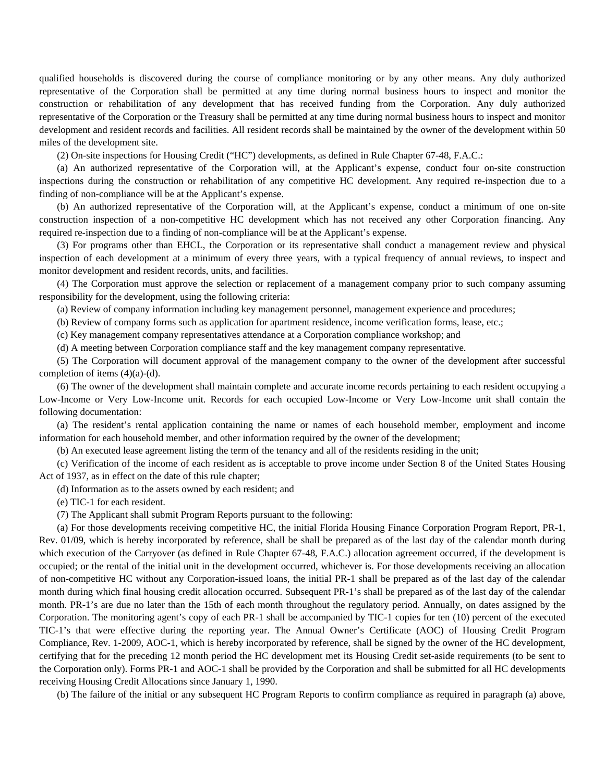qualified households is discovered during the course of compliance monitoring or by any other means. Any duly authorized representative of the Corporation shall be permitted at any time during normal business hours to inspect and monitor the construction or rehabilitation of any development that has received funding from the Corporation. Any duly authorized representative of the Corporation or the Treasury shall be permitted at any time during normal business hours to inspect and monitor development and resident records and facilities. All resident records shall be maintained by the owner of the development within 50 miles of the development site.

(2) On-site inspections for Housing Credit ("HC") developments, as defined in Rule Chapter 67-48, F.A.C.:

(a) An authorized representative of the Corporation will, at the Applicant's expense, conduct four on-site construction inspections during the construction or rehabilitation of any competitive HC development. Any required re-inspection due to a finding of non-compliance will be at the Applicant's expense.

(b) An authorized representative of the Corporation will, at the Applicant's expense, conduct a minimum of one on-site construction inspection of a non-competitive HC development which has not received any other Corporation financing. Any required re-inspection due to a finding of non-compliance will be at the Applicant's expense.

(3) For programs other than EHCL, the Corporation or its representative shall conduct a management review and physical inspection of each development at a minimum of every three years, with a typical frequency of annual reviews, to inspect and monitor development and resident records, units, and facilities.

(4) The Corporation must approve the selection or replacement of a management company prior to such company assuming responsibility for the development, using the following criteria:

(a) Review of company information including key management personnel, management experience and procedures;

(b) Review of company forms such as application for apartment residence, income verification forms, lease, etc.;

(c) Key management company representatives attendance at a Corporation compliance workshop; and

(d) A meeting between Corporation compliance staff and the key management company representative.

(5) The Corporation will document approval of the management company to the owner of the development after successful completion of items  $(4)(a)-(d)$ .

(6) The owner of the development shall maintain complete and accurate income records pertaining to each resident occupying a Low-Income or Very Low-Income unit. Records for each occupied Low-Income or Very Low-Income unit shall contain the following documentation:

(a) The resident's rental application containing the name or names of each household member, employment and income information for each household member, and other information required by the owner of the development;

(b) An executed lease agreement listing the term of the tenancy and all of the residents residing in the unit;

(c) Verification of the income of each resident as is acceptable to prove income under Section 8 of the United States Housing Act of 1937, as in effect on the date of this rule chapter;

(d) Information as to the assets owned by each resident; and

(e) TIC-1 for each resident.

(7) The Applicant shall submit Program Reports pursuant to the following:

(a) For those developments receiving competitive HC, the initial Florida Housing Finance Corporation Program Report, PR-1, Rev. 01/09, which is hereby incorporated by reference, shall be shall be prepared as of the last day of the calendar month during which execution of the Carryover (as defined in Rule Chapter 67-48, F.A.C.) allocation agreement occurred, if the development is occupied; or the rental of the initial unit in the development occurred, whichever is. For those developments receiving an allocation of non-competitive HC without any Corporation-issued loans, the initial PR-1 shall be prepared as of the last day of the calendar month during which final housing credit allocation occurred. Subsequent PR-1's shall be prepared as of the last day of the calendar month. PR-1's are due no later than the 15th of each month throughout the regulatory period. Annually, on dates assigned by the Corporation. The monitoring agent's copy of each PR-1 shall be accompanied by TIC-1 copies for ten (10) percent of the executed TIC-1's that were effective during the reporting year. The Annual Owner's Certificate (AOC) of Housing Credit Program Compliance, Rev. 1-2009, AOC-1, which is hereby incorporated by reference, shall be signed by the owner of the HC development, certifying that for the preceding 12 month period the HC development met its Housing Credit set-aside requirements (to be sent to the Corporation only). Forms PR-1 and AOC-1 shall be provided by the Corporation and shall be submitted for all HC developments receiving Housing Credit Allocations since January 1, 1990.

(b) The failure of the initial or any subsequent HC Program Reports to confirm compliance as required in paragraph (a) above,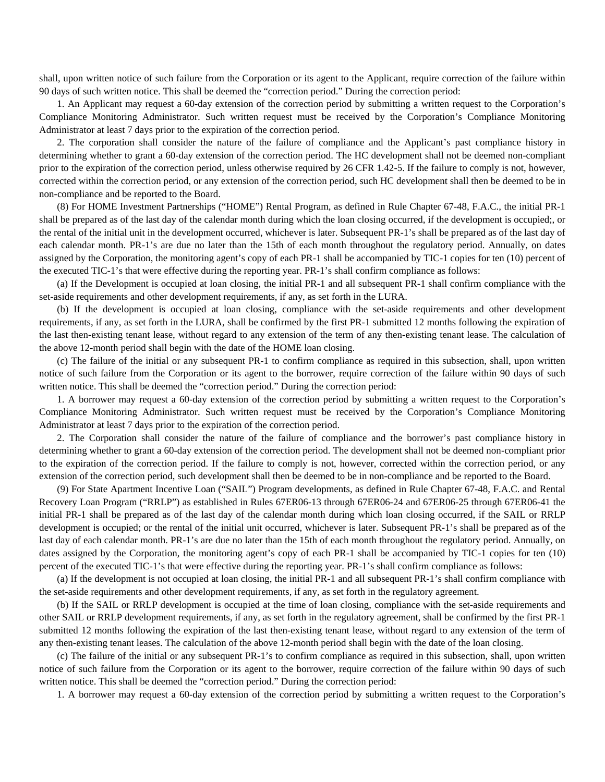shall, upon written notice of such failure from the Corporation or its agent to the Applicant, require correction of the failure within 90 days of such written notice. This shall be deemed the "correction period." During the correction period:

1. An Applicant may request a 60-day extension of the correction period by submitting a written request to the Corporation's Compliance Monitoring Administrator. Such written request must be received by the Corporation's Compliance Monitoring Administrator at least 7 days prior to the expiration of the correction period.

2. The corporation shall consider the nature of the failure of compliance and the Applicant's past compliance history in determining whether to grant a 60-day extension of the correction period. The HC development shall not be deemed non-compliant prior to the expiration of the correction period, unless otherwise required by 26 CFR 1.42-5. If the failure to comply is not, however, corrected within the correction period, or any extension of the correction period, such HC development shall then be deemed to be in non-compliance and be reported to the Board.

(8) For HOME Investment Partnerships ("HOME") Rental Program, as defined in Rule Chapter 67-48, F.A.C., the initial PR-1 shall be prepared as of the last day of the calendar month during which the loan closing occurred, if the development is occupied;, or the rental of the initial unit in the development occurred, whichever is later. Subsequent PR-1's shall be prepared as of the last day of each calendar month. PR-1's are due no later than the 15th of each month throughout the regulatory period. Annually, on dates assigned by the Corporation, the monitoring agent's copy of each PR-1 shall be accompanied by TIC-1 copies for ten (10) percent of the executed TIC-1's that were effective during the reporting year. PR-1's shall confirm compliance as follows:

(a) If the Development is occupied at loan closing, the initial PR-1 and all subsequent PR-1 shall confirm compliance with the set-aside requirements and other development requirements, if any, as set forth in the LURA.

(b) If the development is occupied at loan closing, compliance with the set-aside requirements and other development requirements, if any, as set forth in the LURA, shall be confirmed by the first PR-1 submitted 12 months following the expiration of the last then-existing tenant lease, without regard to any extension of the term of any then-existing tenant lease. The calculation of the above 12-month period shall begin with the date of the HOME loan closing.

(c) The failure of the initial or any subsequent PR-1 to confirm compliance as required in this subsection, shall, upon written notice of such failure from the Corporation or its agent to the borrower, require correction of the failure within 90 days of such written notice. This shall be deemed the "correction period." During the correction period:

1. A borrower may request a 60-day extension of the correction period by submitting a written request to the Corporation's Compliance Monitoring Administrator. Such written request must be received by the Corporation's Compliance Monitoring Administrator at least 7 days prior to the expiration of the correction period.

2. The Corporation shall consider the nature of the failure of compliance and the borrower's past compliance history in determining whether to grant a 60-day extension of the correction period. The development shall not be deemed non-compliant prior to the expiration of the correction period. If the failure to comply is not, however, corrected within the correction period, or any extension of the correction period, such development shall then be deemed to be in non-compliance and be reported to the Board.

(9) For State Apartment Incentive Loan ("SAIL") Program developments, as defined in Rule Chapter 67-48, F.A.C. and Rental Recovery Loan Program ("RRLP") as established in Rules 67ER06-13 through 67ER06-24 and 67ER06-25 through 67ER06-41 the initial PR-1 shall be prepared as of the last day of the calendar month during which loan closing occurred, if the SAIL or RRLP development is occupied; or the rental of the initial unit occurred, whichever is later. Subsequent PR-1's shall be prepared as of the last day of each calendar month. PR-1's are due no later than the 15th of each month throughout the regulatory period. Annually, on dates assigned by the Corporation, the monitoring agent's copy of each PR-1 shall be accompanied by TIC-1 copies for ten (10) percent of the executed TIC-1's that were effective during the reporting year. PR-1's shall confirm compliance as follows:

(a) If the development is not occupied at loan closing, the initial PR-1 and all subsequent PR-1's shall confirm compliance with the set-aside requirements and other development requirements, if any, as set forth in the regulatory agreement.

(b) If the SAIL or RRLP development is occupied at the time of loan closing, compliance with the set-aside requirements and other SAIL or RRLP development requirements, if any, as set forth in the regulatory agreement, shall be confirmed by the first PR-1 submitted 12 months following the expiration of the last then-existing tenant lease, without regard to any extension of the term of any then-existing tenant leases. The calculation of the above 12-month period shall begin with the date of the loan closing.

(c) The failure of the initial or any subsequent PR-1's to confirm compliance as required in this subsection, shall, upon written notice of such failure from the Corporation or its agent to the borrower, require correction of the failure within 90 days of such written notice. This shall be deemed the "correction period." During the correction period:

1. A borrower may request a 60-day extension of the correction period by submitting a written request to the Corporation's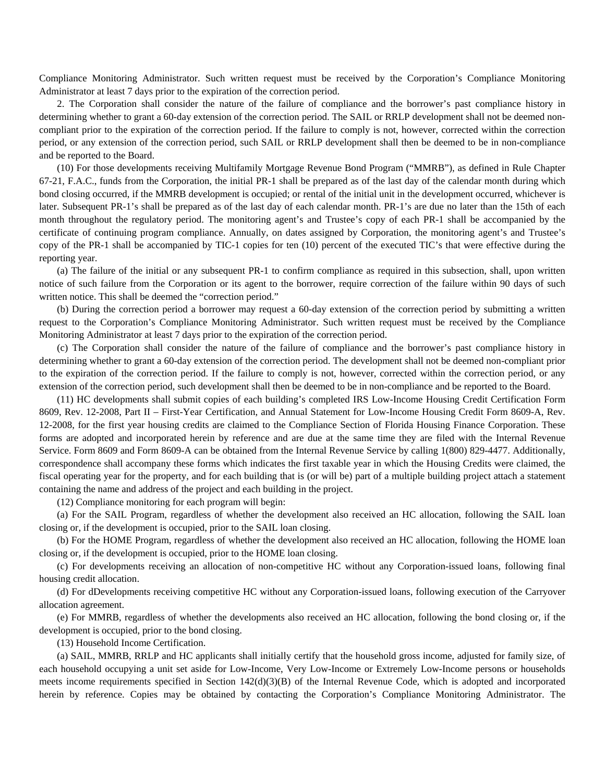Compliance Monitoring Administrator. Such written request must be received by the Corporation's Compliance Monitoring Administrator at least 7 days prior to the expiration of the correction period.

2. The Corporation shall consider the nature of the failure of compliance and the borrower's past compliance history in determining whether to grant a 60-day extension of the correction period. The SAIL or RRLP development shall not be deemed noncompliant prior to the expiration of the correction period. If the failure to comply is not, however, corrected within the correction period, or any extension of the correction period, such SAIL or RRLP development shall then be deemed to be in non-compliance and be reported to the Board.

(10) For those developments receiving Multifamily Mortgage Revenue Bond Program ("MMRB"), as defined in Rule Chapter 67-21, F.A.C., funds from the Corporation, the initial PR-1 shall be prepared as of the last day of the calendar month during which bond closing occurred, if the MMRB development is occupied; or rental of the initial unit in the development occurred, whichever is later. Subsequent PR-1's shall be prepared as of the last day of each calendar month. PR-1's are due no later than the 15th of each month throughout the regulatory period. The monitoring agent's and Trustee's copy of each PR-1 shall be accompanied by the certificate of continuing program compliance. Annually, on dates assigned by Corporation, the monitoring agent's and Trustee's copy of the PR-1 shall be accompanied by TIC-1 copies for ten (10) percent of the executed TIC's that were effective during the reporting year.

(a) The failure of the initial or any subsequent PR-1 to confirm compliance as required in this subsection, shall, upon written notice of such failure from the Corporation or its agent to the borrower, require correction of the failure within 90 days of such written notice. This shall be deemed the "correction period."

(b) During the correction period a borrower may request a 60-day extension of the correction period by submitting a written request to the Corporation's Compliance Monitoring Administrator. Such written request must be received by the Compliance Monitoring Administrator at least 7 days prior to the expiration of the correction period.

(c) The Corporation shall consider the nature of the failure of compliance and the borrower's past compliance history in determining whether to grant a 60-day extension of the correction period. The development shall not be deemed non-compliant prior to the expiration of the correction period. If the failure to comply is not, however, corrected within the correction period, or any extension of the correction period, such development shall then be deemed to be in non-compliance and be reported to the Board.

(11) HC developments shall submit copies of each building's completed IRS Low-Income Housing Credit Certification Form 8609, Rev. 12-2008, Part II – First-Year Certification, and Annual Statement for Low-Income Housing Credit Form 8609-A, Rev. 12-2008, for the first year housing credits are claimed to the Compliance Section of Florida Housing Finance Corporation. These forms are adopted and incorporated herein by reference and are due at the same time they are filed with the Internal Revenue Service. Form 8609 and Form 8609-A can be obtained from the Internal Revenue Service by calling 1(800) 829-4477. Additionally, correspondence shall accompany these forms which indicates the first taxable year in which the Housing Credits were claimed, the fiscal operating year for the property, and for each building that is (or will be) part of a multiple building project attach a statement containing the name and address of the project and each building in the project.

(12) Compliance monitoring for each program will begin:

(a) For the SAIL Program, regardless of whether the development also received an HC allocation, following the SAIL loan closing or, if the development is occupied, prior to the SAIL loan closing.

(b) For the HOME Program, regardless of whether the development also received an HC allocation, following the HOME loan closing or, if the development is occupied, prior to the HOME loan closing.

(c) For developments receiving an allocation of non-competitive HC without any Corporation-issued loans, following final housing credit allocation.

(d) For dDevelopments receiving competitive HC without any Corporation-issued loans, following execution of the Carryover allocation agreement.

(e) For MMRB, regardless of whether the developments also received an HC allocation, following the bond closing or, if the development is occupied, prior to the bond closing.

(13) Household Income Certification.

(a) SAIL, MMRB, RRLP and HC applicants shall initially certify that the household gross income, adjusted for family size, of each household occupying a unit set aside for Low-Income, Very Low-Income or Extremely Low-Income persons or households meets income requirements specified in Section  $142(d)(3)(B)$  of the Internal Revenue Code, which is adopted and incorporated herein by reference. Copies may be obtained by contacting the Corporation's Compliance Monitoring Administrator. The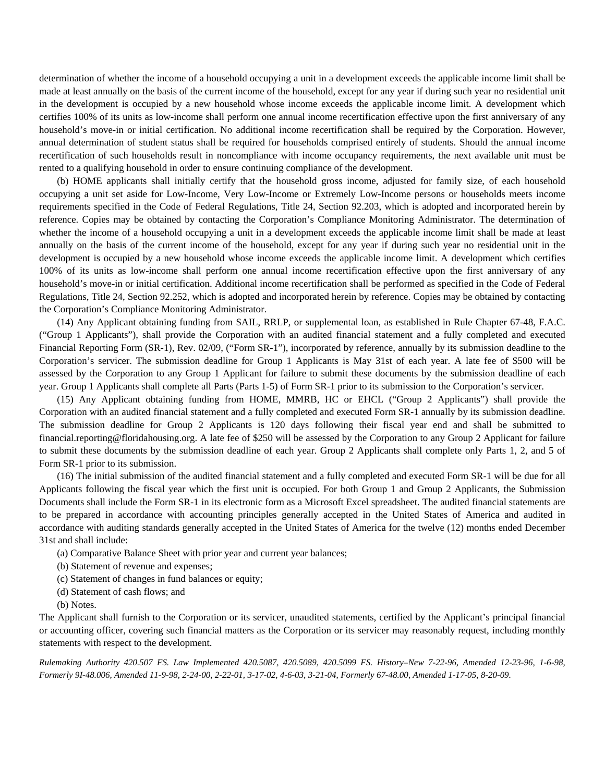determination of whether the income of a household occupying a unit in a development exceeds the applicable income limit shall be made at least annually on the basis of the current income of the household, except for any year if during such year no residential unit in the development is occupied by a new household whose income exceeds the applicable income limit. A development which certifies 100% of its units as low-income shall perform one annual income recertification effective upon the first anniversary of any household's move-in or initial certification. No additional income recertification shall be required by the Corporation. However, annual determination of student status shall be required for households comprised entirely of students. Should the annual income recertification of such households result in noncompliance with income occupancy requirements, the next available unit must be rented to a qualifying household in order to ensure continuing compliance of the development.

(b) HOME applicants shall initially certify that the household gross income, adjusted for family size, of each household occupying a unit set aside for Low-Income, Very Low-Income or Extremely Low-Income persons or households meets income requirements specified in the Code of Federal Regulations, Title 24, Section 92.203, which is adopted and incorporated herein by reference. Copies may be obtained by contacting the Corporation's Compliance Monitoring Administrator. The determination of whether the income of a household occupying a unit in a development exceeds the applicable income limit shall be made at least annually on the basis of the current income of the household, except for any year if during such year no residential unit in the development is occupied by a new household whose income exceeds the applicable income limit. A development which certifies 100% of its units as low-income shall perform one annual income recertification effective upon the first anniversary of any household's move-in or initial certification. Additional income recertification shall be performed as specified in the Code of Federal Regulations, Title 24, Section 92.252, which is adopted and incorporated herein by reference. Copies may be obtained by contacting the Corporation's Compliance Monitoring Administrator.

(14) Any Applicant obtaining funding from SAIL, RRLP, or supplemental loan, as established in Rule Chapter 67-48, F.A.C. ("Group 1 Applicants"), shall provide the Corporation with an audited financial statement and a fully completed and executed Financial Reporting Form (SR-1), Rev. 02/09, ("Form SR-1"), incorporated by reference, annually by its submission deadline to the Corporation's servicer. The submission deadline for Group 1 Applicants is May 31st of each year. A late fee of \$500 will be assessed by the Corporation to any Group 1 Applicant for failure to submit these documents by the submission deadline of each year. Group 1 Applicants shall complete all Parts (Parts 1-5) of Form SR-1 prior to its submission to the Corporation's servicer.

(15) Any Applicant obtaining funding from HOME, MMRB, HC or EHCL ("Group 2 Applicants") shall provide the Corporation with an audited financial statement and a fully completed and executed Form SR-1 annually by its submission deadline. The submission deadline for Group 2 Applicants is 120 days following their fiscal year end and shall be submitted to financial.reporting@floridahousing.org. A late fee of \$250 will be assessed by the Corporation to any Group 2 Applicant for failure to submit these documents by the submission deadline of each year. Group 2 Applicants shall complete only Parts 1, 2, and 5 of Form SR-1 prior to its submission.

(16) The initial submission of the audited financial statement and a fully completed and executed Form SR-1 will be due for all Applicants following the fiscal year which the first unit is occupied. For both Group 1 and Group 2 Applicants, the Submission Documents shall include the Form SR-1 in its electronic form as a Microsoft Excel spreadsheet. The audited financial statements are to be prepared in accordance with accounting principles generally accepted in the United States of America and audited in accordance with auditing standards generally accepted in the United States of America for the twelve (12) months ended December 31st and shall include:

- (a) Comparative Balance Sheet with prior year and current year balances;
- (b) Statement of revenue and expenses;
- (c) Statement of changes in fund balances or equity;
- (d) Statement of cash flows; and
- (b) Notes.

The Applicant shall furnish to the Corporation or its servicer, unaudited statements, certified by the Applicant's principal financial or accounting officer, covering such financial matters as the Corporation or its servicer may reasonably request, including monthly statements with respect to the development.

*Rulemaking Authority 420.507 FS. Law Implemented 420.5087, 420.5089, 420.5099 FS. History–New 7-22-96, Amended 12-23-96, 1-6-98, Formerly 9I-48.006, Amended 11-9-98, 2-24-00, 2-22-01, 3-17-02, 4-6-03, 3-21-04, Formerly 67-48.00, Amended 1-17-05, 8-20-09.*